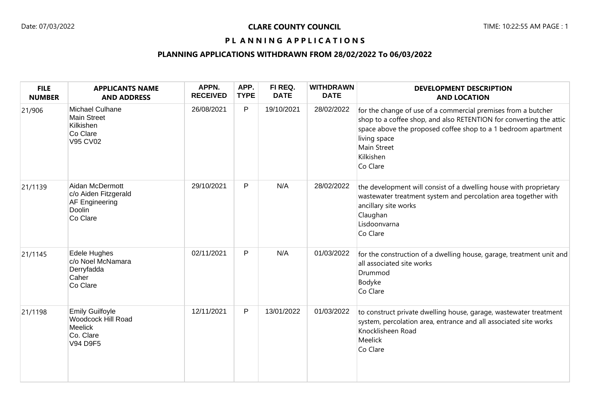## PL ANNING APPLICATIONS

## **PLANNING APPLICATIONS WITHDRAWN FROM 28/02/2022 To 06/03/2022**

| <b>FILE</b><br><b>NUMBER</b> | <b>APPLICANTS NAME</b><br><b>AND ADDRESS</b>                                                   | APPN.<br><b>RECEIVED</b> | APP.<br><b>TYPE</b> | FI REQ.<br><b>DATE</b> | <b>WITHDRAWN</b><br><b>DATE</b> | <b>DEVELOPMENT DESCRIPTION</b><br><b>AND LOCATION</b>                                                                                                                                                                                                               |
|------------------------------|------------------------------------------------------------------------------------------------|--------------------------|---------------------|------------------------|---------------------------------|---------------------------------------------------------------------------------------------------------------------------------------------------------------------------------------------------------------------------------------------------------------------|
| 21/906                       | Michael Culhane<br>Main Street<br>Kilkishen<br>Co Clare<br>V95 CV02                            | 26/08/2021               | P                   | 19/10/2021             | 28/02/2022                      | for the change of use of a commercial premises from a butcher<br>shop to a coffee shop, and also RETENTION for converting the attic<br>space above the proposed coffee shop to a 1 bedroom apartment<br>living space<br><b>Main Street</b><br>Kilkishen<br>Co Clare |
| 21/1139                      | Aidan McDermott<br>c/o Aiden Fitzgerald<br>AF Engineering<br>Doolin<br>Co Clare                | 29/10/2021               | $\mathsf{P}$        | N/A                    | 28/02/2022                      | the development will consist of a dwelling house with proprietary<br>wastewater treatment system and percolation area together with<br>ancillary site works<br>Claughan<br>Lisdoonvarna<br>Co Clare                                                                 |
| 21/1145                      | Edele Hughes<br>c/o Noel McNamara<br>Derryfadda<br>Caher<br>Co Clare                           | 02/11/2021               | P                   | N/A                    | 01/03/2022                      | for the construction of a dwelling house, garage, treatment unit and<br>all associated site works<br>Drummod<br>Bodyke<br>Co Clare                                                                                                                                  |
| 21/1198                      | <b>Emily Guilfoyle</b><br><b>Woodcock Hill Road</b><br><b>Meelick</b><br>Co. Clare<br>V94 D9F5 | 12/11/2021               | P                   | 13/01/2022             | 01/03/2022                      | to construct private dwelling house, garage, wastewater treatment<br>system, percolation area, entrance and all associated site works<br>Knocklisheen Road<br>Meelick<br>Co Clare                                                                                   |